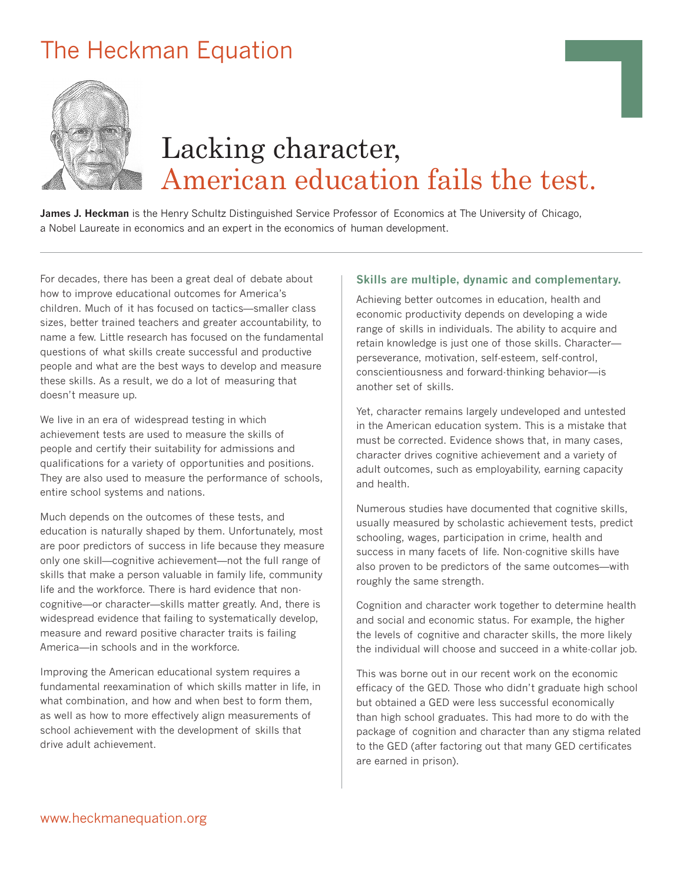# The Heckman Equation



# Lacking character, American education fails the test.

**James J. Heckman** is the Henry Schultz Distinguished Service Professor of Economics at The University of Chicago, a Nobel Laureate in economics and an expert in the economics of human development.

For decades, there has been a great deal of debate about how to improve educational outcomes for America's children. Much of it has focused on tactics—smaller class sizes, better trained teachers and greater accountability, to name a few. Little research has focused on the fundamental questions of what skills create successful and productive people and what are the best ways to develop and measure these skills. As a result, we do a lot of measuring that doesn't measure up.

We live in an era of widespread testing in which achievement tests are used to measure the skills of people and certify their suitability for admissions and qualifications for a variety of opportunities and positions. They are also used to measure the performance of schools, entire school systems and nations.

Much depends on the outcomes of these tests, and education is naturally shaped by them. Unfortunately, most are poor predictors of success in life because they measure only one skill—cognitive achievement—not the full range of skills that make a person valuable in family life, community life and the workforce. There is hard evidence that noncognitive—or character—skills matter greatly. And, there is widespread evidence that failing to systematically develop, measure and reward positive character traits is failing America—in schools and in the workforce.

Improving the American educational system requires a fundamental reexamination of which skills matter in life, in what combination, and how and when best to form them, as well as how to more effectively align measurements of school achievement with the development of skills that drive adult achievement.

#### **Skills are multiple, dynamic and complementary.**

Achieving better outcomes in education, health and economic productivity depends on developing a wide range of skills in individuals. The ability to acquire and retain knowledge is just one of those skills. Character perseverance, motivation, self-esteem, self-control, conscientiousness and forward-thinking behavior—is another set of skills.

Yet, character remains largely undeveloped and untested in the American education system. This is a mistake that must be corrected. Evidence shows that, in many cases, character drives cognitive achievement and a variety of adult outcomes, such as employability, earning capacity and health.

Numerous studies have documented that cognitive skills, usually measured by scholastic achievement tests, predict schooling, wages, participation in crime, health and success in many facets of life. Non-cognitive skills have also proven to be predictors of the same outcomes—with roughly the same strength.

Cognition and character work together to determine health and social and economic status. For example, the higher the levels of cognitive and character skills, the more likely the individual will choose and succeed in a white-collar job.

This was borne out in our recent work on the economic efficacy of the GED. Those who didn't graduate high school but obtained a GED were less successful economically than high school graduates. This had more to do with the package of cognition and character than any stigma related to the GED (after factoring out that many GED certificates are earned in prison).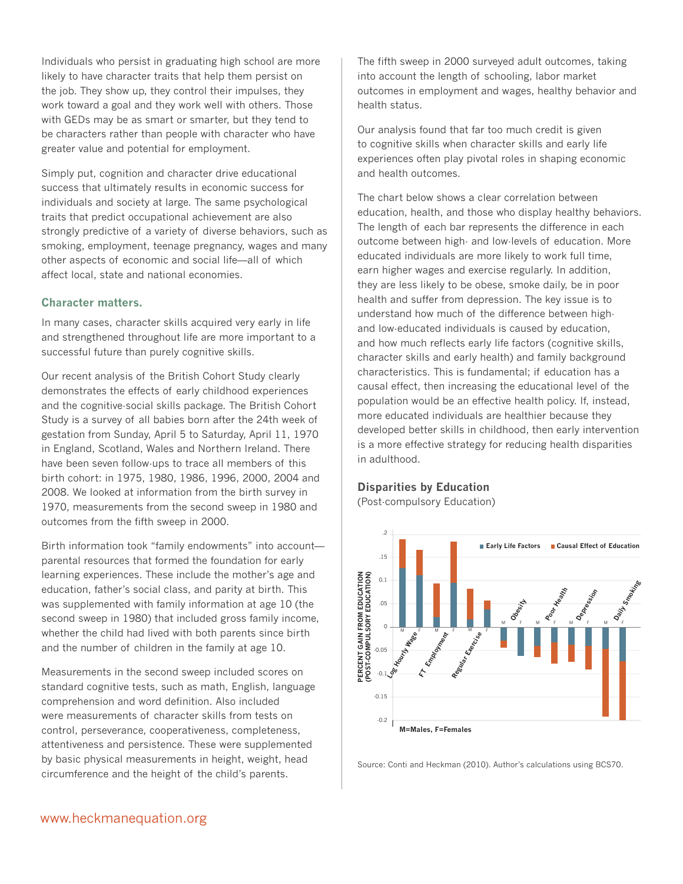Individuals who persist in graduating high school are more likely to have character traits that help them persist on the job. They show up, they control their impulses, they work toward a goal and they work well with others. Those with GEDs may be as smart or smarter, but they tend to be characters rather than people with character who have greater value and potential for employment.

Simply put, cognition and character drive educational success that ultimately results in economic success for individuals and society at large. The same psychological traits that predict occupational achievement are also strongly predictive of a variety of diverse behaviors, such as smoking, employment, teenage pregnancy, wages and many other aspects of economic and social life—all of which affect local, state and national economies.

#### **Character matters.**

In many cases, character skills acquired very early in life and strengthened throughout life are more important to a successful future than purely cognitive skills.

Our recent analysis of the British Cohort Study clearly demonstrates the effects of early childhood experiences and the cognitive-social skills package. The British Cohort Study is a survey of all babies born after the 24th week of gestation from Sunday, April 5 to Saturday, April 11, 1970 in England, Scotland, Wales and Northern Ireland. There have been seven follow-ups to trace all members of this birth cohort: in 1975, 1980, 1986, 1996, 2000, 2004 and 2008. We looked at information from the birth survey in 1970, measurements from the second sweep in 1980 and outcomes from the fifth sweep in 2000.

Birth information took "family endowments" into account parental resources that formed the foundation for early learning experiences. These include the mother's age and education, father's social class, and parity at birth. This was supplemented with family information at age 10 (the second sweep in 1980) that included gross family income, whether the child had lived with both parents since birth and the number of children in the family at age 10.

Measurements in the second sweep included scores on standard cognitive tests, such as math, English, language comprehension and word definition. Also included were measurements of character skills from tests on control, perseverance, cooperativeness, completeness, attentiveness and persistence. These were supplemented by basic physical measurements in height, weight, head circumference and the height of the child's parents.

The fifth sweep in 2000 surveyed adult outcomes, taking into account the length of schooling, labor market outcomes in employment and wages, healthy behavior and health status.

Our analysis found that far too much credit is given to cognitive skills when character skills and early life experiences often play pivotal roles in shaping economic and health outcomes.

The chart below shows a clear correlation between education, health, and those who display healthy behaviors. The length of each bar represents the difference in each outcome between high- and low-levels of education. More educated individuals are more likely to work full time, earn higher wages and exercise regularly. In addition, they are less likely to be obese, smoke daily, be in poor health and suffer from depression. The key issue is to understand how much of the difference between highand low-educated individuals is caused by education, and how much reflects early life factors (cognitive skills, character skills and early health) and family background characteristics. This is fundamental; if education has a causal effect, then increasing the educational level of the population would be an effective health policy. If, instead, more educated individuals are healthier because they developed better skills in childhood, then early intervention is a more effective strategy for reducing health disparities in adulthood.

## **Disparities by Education**

(Post-compulsory Education)



Source: Conti and Heckman (2010). Author's calculations using BCS70.

## www.heckmanequation.org